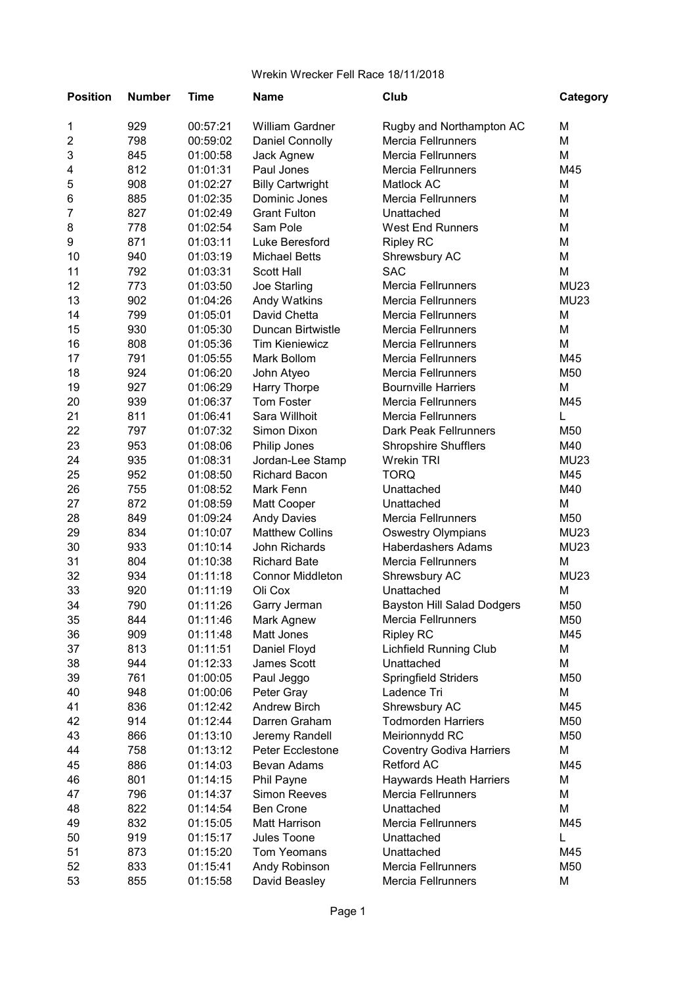| <b>Position</b>         | <b>Number</b> | <b>Time</b> | <b>Name</b>             | Club                              | Category    |
|-------------------------|---------------|-------------|-------------------------|-----------------------------------|-------------|
| 1                       | 929           | 00:57:21    | <b>William Gardner</b>  | Rugby and Northampton AC          | M           |
| $\overline{\mathbf{c}}$ | 798           | 00:59:02    | <b>Daniel Connolly</b>  | Mercia Fellrunners                | M           |
| 3                       | 845           | 01:00:58    | Jack Agnew              | <b>Mercia Fellrunners</b>         | М           |
| 4                       | 812           | 01:01:31    | Paul Jones              | <b>Mercia Fellrunners</b>         | M45         |
| 5                       | 908           | 01:02:27    | <b>Billy Cartwright</b> | Matlock AC                        | M           |
| 6                       | 885           | 01:02:35    | Dominic Jones           | <b>Mercia Fellrunners</b>         | M           |
| 7                       | 827           | 01:02:49    | <b>Grant Fulton</b>     | Unattached                        | M           |
| 8                       | 778           | 01:02:54    | Sam Pole                | <b>West End Runners</b>           | M           |
| 9                       | 871           | 01:03:11    | Luke Beresford          | <b>Ripley RC</b>                  | М           |
| 10                      | 940           | 01:03:19    | <b>Michael Betts</b>    | Shrewsbury AC                     | M           |
| 11                      | 792           | 01:03:31    | <b>Scott Hall</b>       | <b>SAC</b>                        | M           |
| 12                      | 773           | 01:03:50    | Joe Starling            | Mercia Fellrunners                | <b>MU23</b> |
| 13                      | 902           | 01:04:26    | Andy Watkins            | <b>Mercia Fellrunners</b>         | <b>MU23</b> |
| 14                      | 799           | 01:05:01    | David Chetta            | <b>Mercia Fellrunners</b>         | M           |
| 15                      | 930           | 01:05:30    | Duncan Birtwistle       | <b>Mercia Fellrunners</b>         | М           |
| 16                      | 808           | 01:05:36    | <b>Tim Kieniewicz</b>   | <b>Mercia Fellrunners</b>         | М           |
| 17                      | 791           | 01:05:55    | Mark Bollom             | <b>Mercia Fellrunners</b>         | M45         |
| 18                      | 924           | 01:06:20    | John Atyeo              | <b>Mercia Fellrunners</b>         | M50         |
| 19                      | 927           | 01:06:29    | Harry Thorpe            | <b>Bournville Harriers</b>        | M           |
| 20                      | 939           | 01:06:37    | Tom Foster              | Mercia Fellrunners                | M45         |
| 21                      | 811           | 01:06:41    | Sara Willhoit           | <b>Mercia Fellrunners</b>         | L           |
| 22                      | 797           | 01:07:32    | Simon Dixon             | <b>Dark Peak Fellrunners</b>      | M50         |
| 23                      | 953           | 01:08:06    | Philip Jones            | <b>Shropshire Shufflers</b>       | M40         |
| 24                      | 935           | 01:08:31    | Jordan-Lee Stamp        | <b>Wrekin TRI</b>                 | <b>MU23</b> |
| 25                      | 952           | 01:08:50    | <b>Richard Bacon</b>    | <b>TORQ</b>                       | M45         |
| 26                      | 755           | 01:08:52    | Mark Fenn               | Unattached                        | M40         |
| 27                      | 872           | 01:08:59    | Matt Cooper             | Unattached                        | M           |
| 28                      | 849           | 01:09:24    | <b>Andy Davies</b>      | <b>Mercia Fellrunners</b>         | M50         |
| 29                      | 834           | 01:10:07    | <b>Matthew Collins</b>  | <b>Oswestry Olympians</b>         | <b>MU23</b> |
| 30                      | 933           | 01:10:14    | John Richards           | <b>Haberdashers Adams</b>         | <b>MU23</b> |
| 31                      | 804           | 01:10:38    | <b>Richard Bate</b>     | <b>Mercia Fellrunners</b>         | М           |
| 32                      | 934           | 01:11:18    | <b>Connor Middleton</b> | Shrewsbury AC                     | <b>MU23</b> |
| 33                      | 920           | 01:11:19    | Oli Cox                 | Unattached                        | M           |
| 34                      | 790           | 01:11:26    | Garry Jerman            | <b>Bayston Hill Salad Dodgers</b> | M50         |
| 35                      | 844           | 01:11:46    | Mark Agnew              | Mercia Fellrunners                | M50         |
| 36                      | 909           | 01:11:48    | Matt Jones              | <b>Ripley RC</b>                  | M45         |
| 37                      | 813           | 01:11:51    | Daniel Floyd            | <b>Lichfield Running Club</b>     | М           |
| 38                      | 944           | 01:12:33    | James Scott             | Unattached                        | M           |
| 39                      | 761           | 01:00:05    | Paul Jeggo              | Springfield Striders              | M50         |
| 40                      | 948           | 01:00:06    | Peter Gray              | Ladence Tri                       | M           |
| 41                      | 836           | 01:12:42    | <b>Andrew Birch</b>     | Shrewsbury AC                     | M45         |
| 42                      | 914           | 01:12:44    | Darren Graham           | <b>Todmorden Harriers</b>         | M50         |
| 43                      | 866           | 01:13:10    | Jeremy Randell          | Meirionnydd RC                    | M50         |
| 44                      | 758           | 01:13:12    | Peter Ecclestone        | <b>Coventry Godiva Harriers</b>   | М           |
| 45                      | 886           | 01:14:03    | Bevan Adams             | <b>Retford AC</b>                 | M45         |
| 46                      | 801           | 01:14:15    | Phil Payne              | <b>Haywards Heath Harriers</b>    | М           |
| 47                      | 796           | 01:14:37    | <b>Simon Reeves</b>     | Mercia Fellrunners                | M           |
| 48                      | 822           | 01:14:54    | <b>Ben Crone</b>        | Unattached                        | М           |
| 49                      | 832           | 01:15:05    | <b>Matt Harrison</b>    | <b>Mercia Fellrunners</b>         | M45         |
| 50                      | 919           | 01:15:17    | Jules Toone             | Unattached                        | L           |
| 51                      | 873           | 01:15:20    | Tom Yeomans             | Unattached                        | M45         |
| 52                      | 833           | 01:15:41    | Andy Robinson           | Mercia Fellrunners                | M50         |
| 53                      | 855           | 01:15:58    | David Beasley           | Mercia Fellrunners                | M           |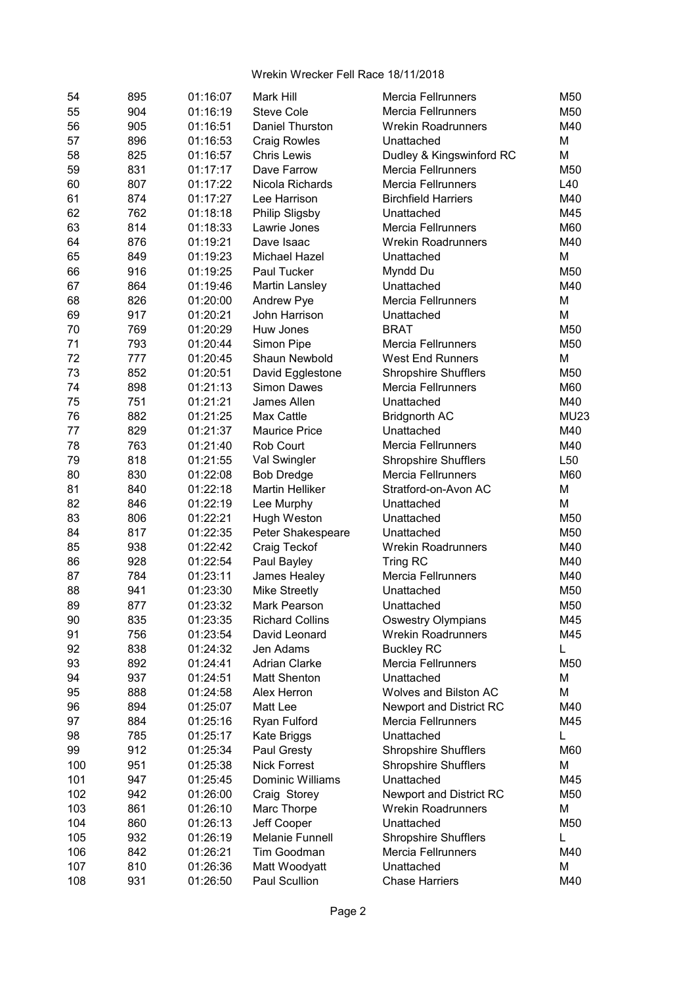| 54       | 895 | 01:16:07             | Mark Hill                            | Mercia Fellrunners                    | M50             |
|----------|-----|----------------------|--------------------------------------|---------------------------------------|-----------------|
| 55       | 904 | 01:16:19             | <b>Steve Cole</b>                    | Mercia Fellrunners                    | M50             |
| 56       | 905 | 01:16:51             | Daniel Thurston                      | <b>Wrekin Roadrunners</b>             | M40             |
| 57       | 896 | 01:16:53             | <b>Craig Rowles</b>                  | Unattached                            | М               |
| 58       | 825 | 01:16:57             | <b>Chris Lewis</b>                   | Dudley & Kingswinford RC              | М               |
| 59       | 831 | 01:17:17             | Dave Farrow                          | Mercia Fellrunners                    | M50             |
| 60       | 807 | 01:17:22             | Nicola Richards                      | <b>Mercia Fellrunners</b>             | L40             |
| 61       | 874 | 01:17:27             | Lee Harrison                         | <b>Birchfield Harriers</b>            | M40             |
| 62       | 762 | 01:18:18             | Philip Sligsby                       | Unattached                            | M45             |
| 63       | 814 | 01:18:33             | Lawrie Jones                         | Mercia Fellrunners                    | M60             |
| 64       | 876 | 01:19:21             | Dave Isaac                           | <b>Wrekin Roadrunners</b>             | M40             |
| 65       | 849 | 01:19:23             | Michael Hazel                        | Unattached                            | M               |
| 66       | 916 | 01:19:25             | Paul Tucker                          | Myndd Du                              | M50             |
| 67       | 864 | 01:19:46             | Martin Lansley                       | Unattached                            | M40             |
| 68       | 826 | 01:20:00             | Andrew Pye                           | <b>Mercia Fellrunners</b>             | M               |
| 69       | 917 | 01:20:21             | John Harrison                        | Unattached                            | М               |
| 70       | 769 | 01:20:29             | Huw Jones                            | <b>BRAT</b>                           | M50             |
| 71       | 793 | 01:20:44             | Simon Pipe                           | Mercia Fellrunners                    | M50             |
| 72       | 777 | 01:20:45             | Shaun Newbold                        | <b>West End Runners</b>               | М               |
| 73       | 852 | 01:20:51             | David Egglestone                     | <b>Shropshire Shufflers</b>           | M50             |
| 74       | 898 | 01:21:13             | <b>Simon Dawes</b>                   | <b>Mercia Fellrunners</b>             | M60             |
| 75       | 751 | 01:21:21             | James Allen                          | Unattached                            | M40             |
| 76       | 882 | 01:21:25             | Max Cattle                           | <b>Bridgnorth AC</b>                  | <b>MU23</b>     |
| 77       | 829 | 01:21:37             | <b>Maurice Price</b>                 | Unattached                            | M40             |
| 78       | 763 | 01:21:40             | Rob Court                            | <b>Mercia Fellrunners</b>             | M40             |
| 79       | 818 | 01:21:55             | Val Swingler                         | <b>Shropshire Shufflers</b>           | L <sub>50</sub> |
| 80       | 830 | 01:22:08             | <b>Bob Dredge</b>                    | <b>Mercia Fellrunners</b>             | M60             |
| 81       | 840 | 01:22:18             | Martin Helliker                      | Stratford-on-Avon AC                  | М               |
| 82       | 846 | 01:22:19             | Lee Murphy                           | Unattached                            | М               |
| 83       | 806 | 01:22:21             | Hugh Weston                          | Unattached                            | M50             |
| 84       | 817 | 01:22:35             | Peter Shakespeare                    | Unattached                            | M50             |
| 85       | 938 | 01:22:42             | Craig Teckof                         | <b>Wrekin Roadrunners</b>             | M40             |
|          | 928 |                      |                                      |                                       | M40             |
| 86<br>87 | 784 | 01:22:54             | Paul Bayley                          | Tring RC<br><b>Mercia Fellrunners</b> | M40             |
| 88       | 941 | 01:23:11<br>01:23:30 | James Healey<br><b>Mike Streetly</b> | Unattached                            | M50             |
| 89       | 877 | 01:23:32             | Mark Pearson                         |                                       | M50             |
|          |     | 01:23:35             |                                      | Unattached                            |                 |
| 90       | 835 |                      | <b>Richard Collins</b>               | Oswestry Olympians                    | M45             |
| 91       | 756 | 01:23:54             | David Leonard                        | <b>Wrekin Roadrunners</b>             | M45             |
| 92       | 838 | 01:24:32             | Jen Adams<br><b>Adrian Clarke</b>    | <b>Buckley RC</b>                     | L               |
| 93       | 892 | 01:24:41             |                                      | Mercia Fellrunners                    | M50             |
| 94       | 937 | 01:24:51             | Matt Shenton                         | Unattached                            | M               |
| 95       | 888 | 01:24:58             | Alex Herron                          | Wolves and Bilston AC                 | М               |
| 96       | 894 | 01:25:07             | Matt Lee                             | Newport and District RC               | M40             |
| 97       | 884 | 01:25:16             | Ryan Fulford                         | Mercia Fellrunners                    | M45             |
| 98       | 785 | 01:25:17             | Kate Briggs                          | Unattached                            | L               |
| 99       | 912 | 01:25:34             | Paul Gresty                          | <b>Shropshire Shufflers</b>           | M60             |
| 100      | 951 | 01:25:38             | <b>Nick Forrest</b>                  | <b>Shropshire Shufflers</b>           | М               |
| 101      | 947 | 01:25:45             | Dominic Williams                     | Unattached                            | M45             |
| 102      | 942 | 01:26:00             | Craig Storey                         | Newport and District RC               | M50             |
| 103      | 861 | 01:26:10             | Marc Thorpe                          | <b>Wrekin Roadrunners</b>             | М               |
| 104      | 860 | 01:26:13             | Jeff Cooper                          | Unattached                            | M50             |
| 105      | 932 | 01:26:19             | Melanie Funnell                      | <b>Shropshire Shufflers</b>           | L               |
| 106      | 842 | 01:26:21             | Tim Goodman                          | <b>Mercia Fellrunners</b>             | M40             |
| 107      | 810 | 01:26:36             | Matt Woodyatt                        | Unattached                            | М               |
| 108      | 931 | 01:26:50             | Paul Scullion                        | <b>Chase Harriers</b>                 | M40             |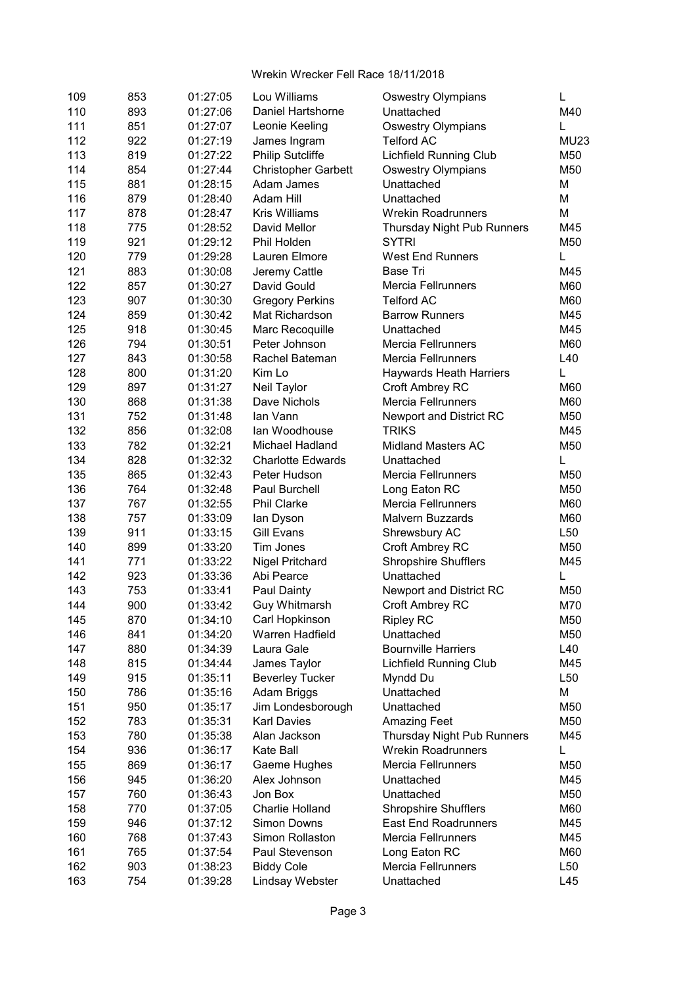| 109 | 853 | 01:27:05             | Lou Williams                   | <b>Oswestry Olympians</b>                  | L               |
|-----|-----|----------------------|--------------------------------|--------------------------------------------|-----------------|
| 110 | 893 | 01:27:06             | Daniel Hartshorne              | Unattached                                 | M40             |
| 111 | 851 | 01:27:07             | Leonie Keeling                 | <b>Oswestry Olympians</b>                  | L               |
| 112 | 922 | 01:27:19             | James Ingram                   | <b>Telford AC</b>                          | <b>MU23</b>     |
| 113 | 819 | 01:27:22             | <b>Philip Sutcliffe</b>        | <b>Lichfield Running Club</b>              | M50             |
| 114 | 854 | 01:27:44             | <b>Christopher Garbett</b>     | <b>Oswestry Olympians</b>                  | M50             |
| 115 | 881 | 01:28:15             | Adam James                     | Unattached                                 | М               |
| 116 | 879 | 01:28:40             | Adam Hill                      | Unattached                                 | M               |
| 117 | 878 | 01:28:47             | <b>Kris Williams</b>           | <b>Wrekin Roadrunners</b>                  | М               |
| 118 | 775 | 01:28:52             | David Mellor                   | Thursday Night Pub Runners                 | M45             |
| 119 | 921 | 01:29:12             | Phil Holden                    | <b>SYTRI</b>                               | M50             |
| 120 | 779 | 01:29:28             | Lauren Elmore                  | <b>West End Runners</b>                    | L               |
| 121 | 883 | 01:30:08             | Jeremy Cattle                  | <b>Base Tri</b>                            | M45             |
| 122 | 857 | 01:30:27             | David Gould                    | <b>Mercia Fellrunners</b>                  | M60             |
| 123 | 907 | 01:30:30             | <b>Gregory Perkins</b>         | <b>Telford AC</b>                          | M60             |
| 124 | 859 | 01:30:42             | Mat Richardson                 | <b>Barrow Runners</b>                      | M45             |
| 125 | 918 | 01:30:45             | Marc Recoquille                | Unattached                                 | M45             |
| 126 | 794 | 01:30:51             | Peter Johnson                  | <b>Mercia Fellrunners</b>                  | M60             |
| 127 | 843 | 01:30:58             | Rachel Bateman                 | <b>Mercia Fellrunners</b>                  | L40             |
| 128 | 800 | 01:31:20             | Kim Lo                         | <b>Haywards Heath Harriers</b>             | L               |
| 129 | 897 | 01:31:27             | Neil Taylor                    | <b>Croft Ambrey RC</b>                     | M60             |
| 130 | 868 | 01:31:38             | Dave Nichols                   | Mercia Fellrunners                         | M60             |
| 131 | 752 | 01:31:48             | lan Vann                       | Newport and District RC                    | M50             |
| 132 | 856 | 01:32:08             | Ian Woodhouse                  | <b>TRIKS</b>                               | M45             |
| 133 | 782 | 01:32:21             | Michael Hadland                | <b>Midland Masters AC</b>                  | M50             |
| 134 | 828 | 01:32:32             | <b>Charlotte Edwards</b>       | Unattached                                 | L               |
| 135 | 865 | 01:32:43             | Peter Hudson                   | <b>Mercia Fellrunners</b>                  | M50             |
| 136 | 764 |                      | Paul Burchell                  |                                            | M50             |
|     | 767 | 01:32:48<br>01:32:55 | <b>Phil Clarke</b>             | Long Eaton RC<br><b>Mercia Fellrunners</b> | M60             |
| 137 | 757 |                      |                                |                                            | M60             |
| 138 |     | 01:33:09             | lan Dyson<br><b>Gill Evans</b> | Malvern Buzzards                           |                 |
| 139 | 911 | 01:33:15             |                                | Shrewsbury AC                              | L <sub>50</sub> |
| 140 | 899 | 01:33:20             | Tim Jones                      | Croft Ambrey RC                            | M50             |
| 141 | 771 | 01:33:22             | <b>Nigel Pritchard</b>         | <b>Shropshire Shufflers</b>                | M45             |
| 142 | 923 | 01:33:36             | Abi Pearce                     | Unattached                                 | L               |
| 143 | 753 | 01:33:41             | Paul Dainty                    | Newport and District RC                    | M50             |
| 144 | 900 | 01:33:42             | Guy Whitmarsh                  | Croft Ambrey RC                            | M70             |
| 145 | 870 | 01:34:10             | Carl Hopkinson                 | <b>Ripley RC</b>                           | M50             |
| 146 | 841 | 01:34:20             | Warren Hadfield                | Unattached                                 | M50             |
| 147 | 880 | 01:34:39             | Laura Gale                     | <b>Bournville Harriers</b>                 | L40             |
| 148 | 815 | 01:34:44             | James Taylor                   | <b>Lichfield Running Club</b>              | M45             |
| 149 | 915 | 01:35:11             | <b>Beverley Tucker</b>         | Myndd Du                                   | L <sub>50</sub> |
| 150 | 786 | 01:35:16             | Adam Briggs                    | Unattached                                 | M               |
| 151 | 950 | 01:35:17             | Jim Londesborough              | Unattached                                 | M50             |
| 152 | 783 | 01:35:31             | <b>Karl Davies</b>             | <b>Amazing Feet</b>                        | M50             |
| 153 | 780 | 01:35:38             | Alan Jackson                   | Thursday Night Pub Runners                 | M45             |
| 154 | 936 | 01:36:17             | Kate Ball                      | <b>Wrekin Roadrunners</b>                  | L               |
| 155 | 869 | 01:36:17             | Gaeme Hughes                   | <b>Mercia Fellrunners</b>                  | M50             |
| 156 | 945 | 01:36:20             | Alex Johnson                   | Unattached                                 | M45             |
| 157 | 760 | 01:36:43             | Jon Box                        | Unattached                                 | M50             |
| 158 | 770 | 01:37:05             | Charlie Holland                | <b>Shropshire Shufflers</b>                | M60             |
| 159 | 946 | 01:37:12             | <b>Simon Downs</b>             | East End Roadrunners                       | M45             |
| 160 | 768 | 01:37:43             | Simon Rollaston                | <b>Mercia Fellrunners</b>                  | M45             |
| 161 | 765 | 01:37:54             | Paul Stevenson                 | Long Eaton RC                              | M60             |
| 162 | 903 | 01:38:23             | <b>Biddy Cole</b>              | <b>Mercia Fellrunners</b>                  | L <sub>50</sub> |
| 163 | 754 | 01:39:28             | Lindsay Webster                | Unattached                                 | L45             |